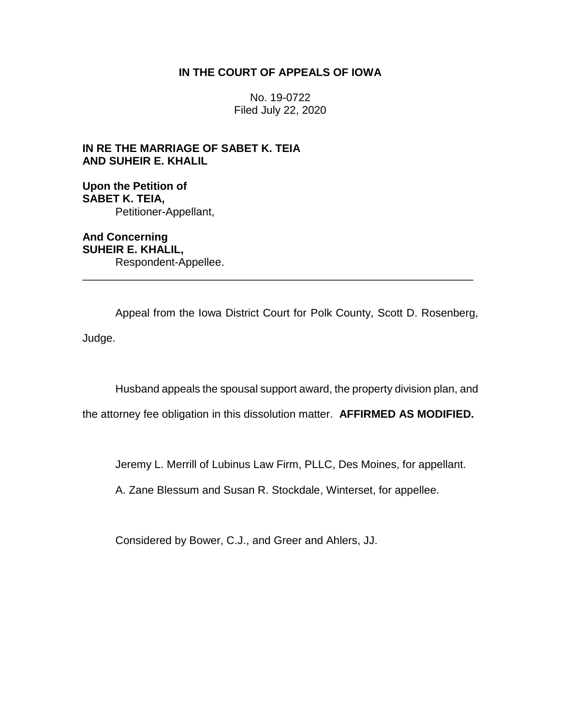# **IN THE COURT OF APPEALS OF IOWA**

No. 19-0722 Filed July 22, 2020

# **IN RE THE MARRIAGE OF SABET K. TEIA AND SUHEIR E. KHALIL**

**Upon the Petition of SABET K. TEIA,** Petitioner-Appellant,

**And Concerning SUHEIR E. KHALIL,** Respondent-Appellee. \_\_\_\_\_\_\_\_\_\_\_\_\_\_\_\_\_\_\_\_\_\_\_\_\_\_\_\_\_\_\_\_\_\_\_\_\_\_\_\_\_\_\_\_\_\_\_\_\_\_\_\_\_\_\_\_\_\_\_\_\_\_\_\_

Appeal from the Iowa District Court for Polk County, Scott D. Rosenberg, Judge.

Husband appeals the spousal support award, the property division plan, and

the attorney fee obligation in this dissolution matter. **AFFIRMED AS MODIFIED.**

Jeremy L. Merrill of Lubinus Law Firm, PLLC, Des Moines, for appellant.

A. Zane Blessum and Susan R. Stockdale, Winterset, for appellee.

Considered by Bower, C.J., and Greer and Ahlers, JJ.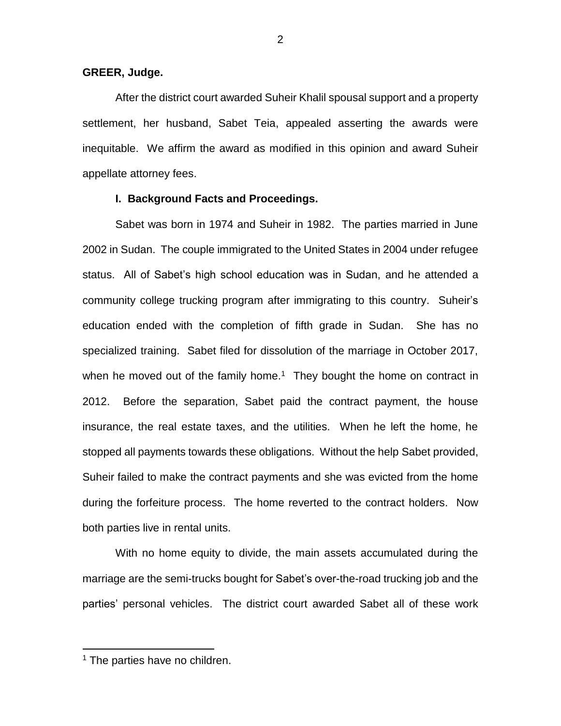# **GREER, Judge.**

After the district court awarded Suheir Khalil spousal support and a property settlement, her husband, Sabet Teia, appealed asserting the awards were inequitable. We affirm the award as modified in this opinion and award Suheir appellate attorney fees.

### **I. Background Facts and Proceedings.**

Sabet was born in 1974 and Suheir in 1982. The parties married in June 2002 in Sudan. The couple immigrated to the United States in 2004 under refugee status. All of Sabet's high school education was in Sudan, and he attended a community college trucking program after immigrating to this country. Suheir's education ended with the completion of fifth grade in Sudan. She has no specialized training. Sabet filed for dissolution of the marriage in October 2017, when he moved out of the family home.<sup>1</sup> They bought the home on contract in 2012. Before the separation, Sabet paid the contract payment, the house insurance, the real estate taxes, and the utilities. When he left the home, he stopped all payments towards these obligations. Without the help Sabet provided, Suheir failed to make the contract payments and she was evicted from the home during the forfeiture process. The home reverted to the contract holders. Now both parties live in rental units.

With no home equity to divide, the main assets accumulated during the marriage are the semi-trucks bought for Sabet's over-the-road trucking job and the parties' personal vehicles. The district court awarded Sabet all of these work

<sup>&</sup>lt;sup>1</sup> The parties have no children.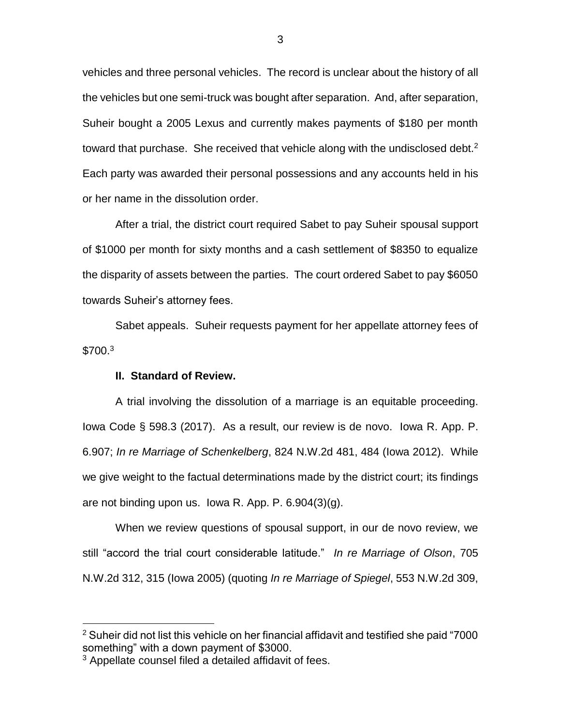vehicles and three personal vehicles. The record is unclear about the history of all the vehicles but one semi-truck was bought after separation. And, after separation, Suheir bought a 2005 Lexus and currently makes payments of \$180 per month toward that purchase. She received that vehicle along with the undisclosed debt.<sup>2</sup> Each party was awarded their personal possessions and any accounts held in his or her name in the dissolution order.

After a trial, the district court required Sabet to pay Suheir spousal support of \$1000 per month for sixty months and a cash settlement of \$8350 to equalize the disparity of assets between the parties. The court ordered Sabet to pay \$6050 towards Suheir's attorney fees.

Sabet appeals. Suheir requests payment for her appellate attorney fees of  $$700.<sup>3</sup>$ 

# **II. Standard of Review.**

A trial involving the dissolution of a marriage is an equitable proceeding. Iowa Code § 598.3 (2017). As a result, our review is de novo. Iowa R. App. P. 6.907; *In re Marriage of Schenkelberg*, 824 N.W.2d 481, 484 (Iowa 2012). While we give weight to the factual determinations made by the district court; its findings are not binding upon us. Iowa R. App. P. 6.904(3)(g).

When we review questions of spousal support, in our de novo review, we still "accord the trial court considerable latitude." *In re Marriage of Olson*, 705 N.W.2d 312, 315 (Iowa 2005) (quoting *In re Marriage of Spiegel*, 553 N.W.2d 309,

 $2$  Suheir did not list this vehicle on her financial affidavit and testified she paid "7000 something" with a down payment of \$3000.

<sup>&</sup>lt;sup>3</sup> Appellate counsel filed a detailed affidavit of fees.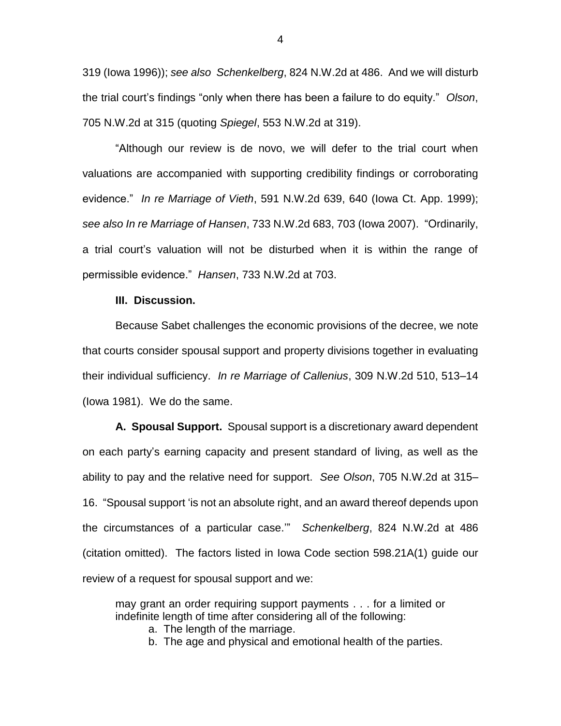319 (Iowa 1996)); *see also Schenkelberg*, 824 N.W.2d at 486. And we will disturb the trial court's findings "only when there has been a failure to do equity." *Olson*, 705 N.W.2d at 315 (quoting *Spiegel*, 553 N.W.2d at 319).

"Although our review is de novo, we will defer to the trial court when valuations are accompanied with supporting credibility findings or corroborating evidence." *In re Marriage of Vieth*, 591 N.W.2d 639, 640 (Iowa Ct. App. 1999); *see also In re Marriage of Hansen*, 733 N.W.2d 683, 703 (Iowa 2007). "Ordinarily, a trial court's valuation will not be disturbed when it is within the range of permissible evidence." *Hansen*, 733 N.W.2d at 703.

#### **III. Discussion.**

Because Sabet challenges the economic provisions of the decree, we note that courts consider spousal support and property divisions together in evaluating their individual sufficiency. *In re Marriage of Callenius*, 309 N.W.2d 510, 513–14 (Iowa 1981). We do the same.

**A. Spousal Support.** Spousal support is a discretionary award dependent on each party's earning capacity and present standard of living, as well as the ability to pay and the relative need for support. *See Olson*, 705 N.W.2d at 315– 16. "Spousal support 'is not an absolute right, and an award thereof depends upon the circumstances of a particular case.'" *Schenkelberg*, 824 N.W.2d at 486 (citation omitted). The factors listed in Iowa Code section 598.21A(1) guide our review of a request for spousal support and we:

may grant an order requiring support payments . . . for a limited or indefinite length of time after considering all of the following:

a. The length of the marriage.

b. The age and physical and emotional health of the parties.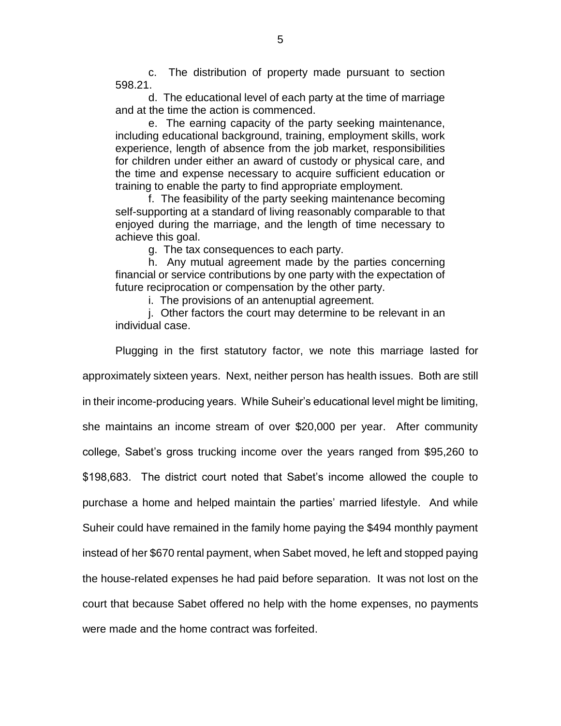c. The distribution of property made pursuant to section 598.21.

d. The educational level of each party at the time of marriage and at the time the action is commenced.

e. The earning capacity of the party seeking maintenance, including educational background, training, employment skills, work experience, length of absence from the job market, responsibilities for children under either an award of custody or physical care, and the time and expense necessary to acquire sufficient education or training to enable the party to find appropriate employment.

f. The feasibility of the party seeking maintenance becoming self-supporting at a standard of living reasonably comparable to that enjoyed during the marriage, and the length of time necessary to achieve this goal.

g. The tax consequences to each party.

h. Any mutual agreement made by the parties concerning financial or service contributions by one party with the expectation of future reciprocation or compensation by the other party.

i. The provisions of an antenuptial agreement.

j. Other factors the court may determine to be relevant in an individual case.

Plugging in the first statutory factor, we note this marriage lasted for approximately sixteen years. Next, neither person has health issues. Both are still in their income-producing years. While Suheir's educational level might be limiting, she maintains an income stream of over \$20,000 per year. After community college, Sabet's gross trucking income over the years ranged from \$95,260 to \$198,683. The district court noted that Sabet's income allowed the couple to purchase a home and helped maintain the parties' married lifestyle. And while Suheir could have remained in the family home paying the \$494 monthly payment instead of her \$670 rental payment, when Sabet moved, he left and stopped paying the house-related expenses he had paid before separation. It was not lost on the court that because Sabet offered no help with the home expenses, no payments were made and the home contract was forfeited.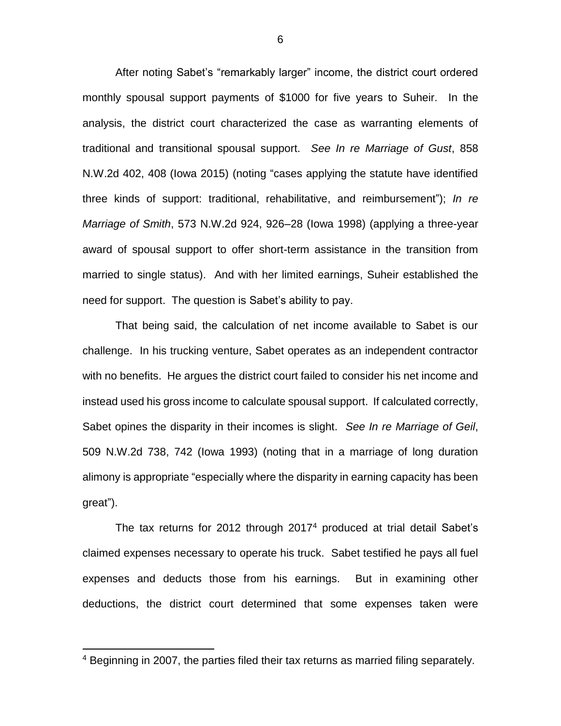After noting Sabet's "remarkably larger" income, the district court ordered monthly spousal support payments of \$1000 for five years to Suheir. In the analysis, the district court characterized the case as warranting elements of traditional and transitional spousal support. *See In re Marriage of Gust*, 858 N.W.2d 402, 408 (Iowa 2015) (noting "cases applying the statute have identified three kinds of support: traditional, rehabilitative, and reimbursement"); *In re Marriage of Smith*, 573 N.W.2d 924, 926–28 (Iowa 1998) (applying a three-year award of spousal support to offer short-term assistance in the transition from married to single status). And with her limited earnings, Suheir established the need for support. The question is Sabet's ability to pay.

That being said, the calculation of net income available to Sabet is our challenge. In his trucking venture, Sabet operates as an independent contractor with no benefits. He argues the district court failed to consider his net income and instead used his gross income to calculate spousal support. If calculated correctly, Sabet opines the disparity in their incomes is slight. *See In re Marriage of Geil*, 509 N.W.2d 738, 742 (Iowa 1993) (noting that in a marriage of long duration alimony is appropriate "especially where the disparity in earning capacity has been great").

The tax returns for 2012 through 2017<sup>4</sup> produced at trial detail Sabet's claimed expenses necessary to operate his truck. Sabet testified he pays all fuel expenses and deducts those from his earnings. But in examining other deductions, the district court determined that some expenses taken were

<sup>4</sup> Beginning in 2007, the parties filed their tax returns as married filing separately.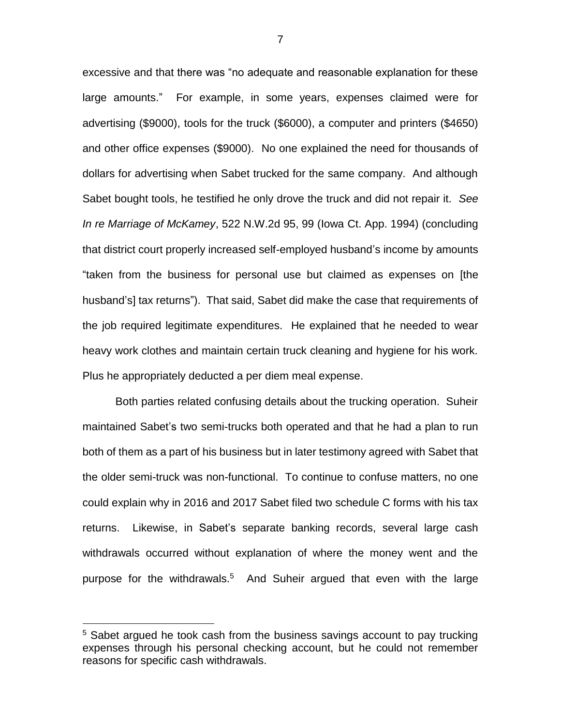excessive and that there was "no adequate and reasonable explanation for these large amounts." For example, in some years, expenses claimed were for advertising (\$9000), tools for the truck (\$6000), a computer and printers (\$4650) and other office expenses (\$9000). No one explained the need for thousands of dollars for advertising when Sabet trucked for the same company. And although Sabet bought tools, he testified he only drove the truck and did not repair it. *See In re Marriage of McKamey*, 522 N.W.2d 95, 99 (Iowa Ct. App. 1994) (concluding that district court properly increased self-employed husband's income by amounts "taken from the business for personal use but claimed as expenses on [the husband's] tax returns"). That said, Sabet did make the case that requirements of the job required legitimate expenditures. He explained that he needed to wear heavy work clothes and maintain certain truck cleaning and hygiene for his work. Plus he appropriately deducted a per diem meal expense.

Both parties related confusing details about the trucking operation. Suheir maintained Sabet's two semi-trucks both operated and that he had a plan to run both of them as a part of his business but in later testimony agreed with Sabet that the older semi-truck was non-functional. To continue to confuse matters, no one could explain why in 2016 and 2017 Sabet filed two schedule C forms with his tax returns. Likewise, in Sabet's separate banking records, several large cash withdrawals occurred without explanation of where the money went and the purpose for the withdrawals.<sup>5</sup> And Suheir argued that even with the large

<sup>&</sup>lt;sup>5</sup> Sabet argued he took cash from the business savings account to pay trucking expenses through his personal checking account, but he could not remember reasons for specific cash withdrawals.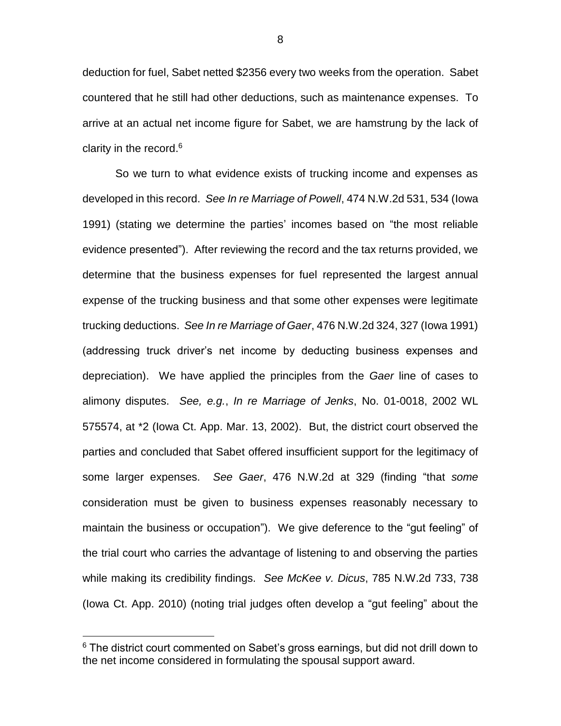deduction for fuel, Sabet netted \$2356 every two weeks from the operation. Sabet countered that he still had other deductions, such as maintenance expenses. To arrive at an actual net income figure for Sabet, we are hamstrung by the lack of clarity in the record. 6

So we turn to what evidence exists of trucking income and expenses as developed in this record. *See In re Marriage of Powell*, 474 N.W.2d 531, 534 (Iowa 1991) (stating we determine the parties' incomes based on "the most reliable evidence presented"). After reviewing the record and the tax returns provided, we determine that the business expenses for fuel represented the largest annual expense of the trucking business and that some other expenses were legitimate trucking deductions. *See In re Marriage of Gaer*, 476 N.W.2d 324, 327 (Iowa 1991) (addressing truck driver's net income by deducting business expenses and depreciation). We have applied the principles from the *Gaer* line of cases to alimony disputes. *See, e.g.*, *In re Marriage of Jenks*, No. 01-0018, 2002 WL 575574, at \*2 (Iowa Ct. App. Mar. 13, 2002). But, the district court observed the parties and concluded that Sabet offered insufficient support for the legitimacy of some larger expenses. *See Gaer*, 476 N.W.2d at 329 (finding "that *some* consideration must be given to business expenses reasonably necessary to maintain the business or occupation"). We give deference to the "gut feeling" of the trial court who carries the advantage of listening to and observing the parties while making its credibility findings. *See McKee v. Dicus*, 785 N.W.2d 733, 738 (Iowa Ct. App. 2010) (noting trial judges often develop a "gut feeling" about the

 $6$  The district court commented on Sabet's gross earnings, but did not drill down to the net income considered in formulating the spousal support award.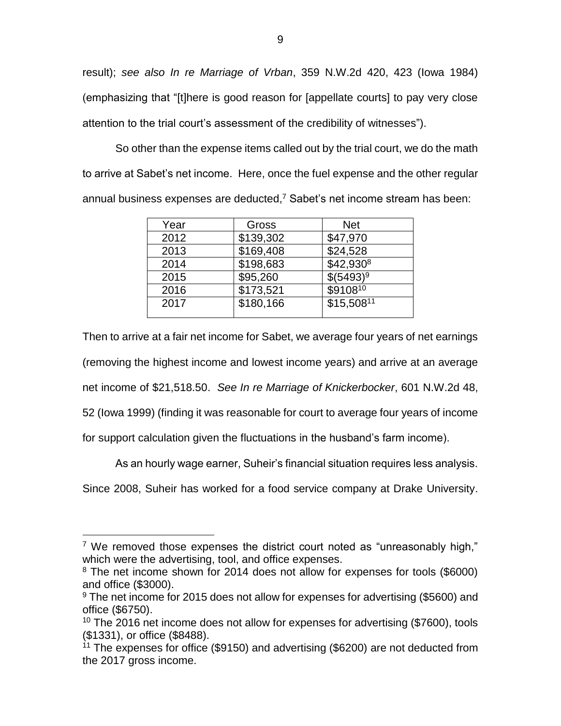result); *see also In re Marriage of Vrban*, 359 N.W.2d 420, 423 (Iowa 1984) (emphasizing that "[t]here is good reason for [appellate courts] to pay very close attention to the trial court's assessment of the credibility of witnesses").

So other than the expense items called out by the trial court, we do the math to arrive at Sabet's net income. Here, once the fuel expense and the other regular annual business expenses are deducted,<sup>7</sup> Sabet's net income stream has been:

| Year | Gross     | <b>Net</b>             |
|------|-----------|------------------------|
| 2012 | \$139,302 | \$47,970               |
| 2013 | \$169,408 | \$24,528               |
| 2014 | \$198,683 | $$42,930^8$            |
| 2015 | \$95,260  | $$(5493)^9$            |
| 2016 | \$173,521 | $$9108^{10}$           |
| 2017 | \$180,166 | \$15,508 <sup>11</sup> |

Then to arrive at a fair net income for Sabet, we average four years of net earnings (removing the highest income and lowest income years) and arrive at an average net income of \$21,518.50. *See In re Marriage of Knickerbocker*, 601 N.W.2d 48,

52 (Iowa 1999) (finding it was reasonable for court to average four years of income

for support calculation given the fluctuations in the husband's farm income).

As an hourly wage earner, Suheir's financial situation requires less analysis.

Since 2008, Suheir has worked for a food service company at Drake University.

<sup>&</sup>lt;sup>7</sup> We removed those expenses the district court noted as "unreasonably high," which were the advertising, tool, and office expenses.

<sup>&</sup>lt;sup>8</sup> The net income shown for 2014 does not allow for expenses for tools (\$6000) and office (\$3000).

<sup>&</sup>lt;sup>9</sup> The net income for 2015 does not allow for expenses for advertising (\$5600) and office (\$6750).

 $10$  The 2016 net income does not allow for expenses for advertising (\$7600), tools (\$1331), or office (\$8488).

<sup>&</sup>lt;sup>11</sup> The expenses for office (\$9150) and advertising (\$6200) are not deducted from the 2017 gross income.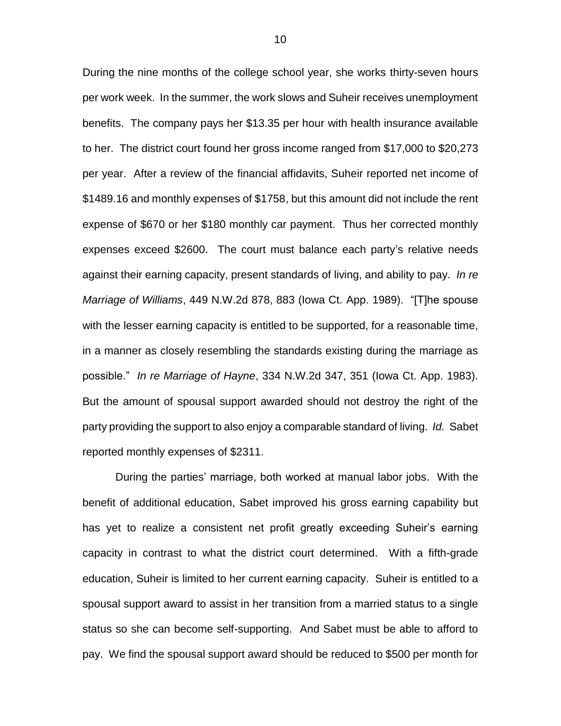During the nine months of the college school year, she works thirty-seven hours per work week. In the summer, the work slows and Suheir receives unemployment benefits. The company pays her \$13.35 per hour with health insurance available to her. The district court found her gross income ranged from \$17,000 to \$20,273 per year. After a review of the financial affidavits, Suheir reported net income of \$1489.16 and monthly expenses of \$1758, but this amount did not include the rent expense of \$670 or her \$180 monthly car payment. Thus her corrected monthly expenses exceed \$2600. The court must balance each party's relative needs against their earning capacity, present standards of living, and ability to pay. *In re Marriage of Williams*, 449 N.W.2d 878, 883 (Iowa Ct. App. 1989). "[T]he spouse with the lesser earning capacity is entitled to be supported, for a reasonable time, in a manner as closely resembling the standards existing during the marriage as possible." *In re Marriage of Hayne*, 334 N.W.2d 347, 351 (Iowa Ct. App. 1983). But the amount of spousal support awarded should not destroy the right of the party providing the support to also enjoy a comparable standard of living. *Id.* Sabet reported monthly expenses of \$2311.

During the parties' marriage, both worked at manual labor jobs. With the benefit of additional education, Sabet improved his gross earning capability but has yet to realize a consistent net profit greatly exceeding Suheir's earning capacity in contrast to what the district court determined. With a fifth-grade education, Suheir is limited to her current earning capacity. Suheir is entitled to a spousal support award to assist in her transition from a married status to a single status so she can become self-supporting. And Sabet must be able to afford to pay. We find the spousal support award should be reduced to \$500 per month for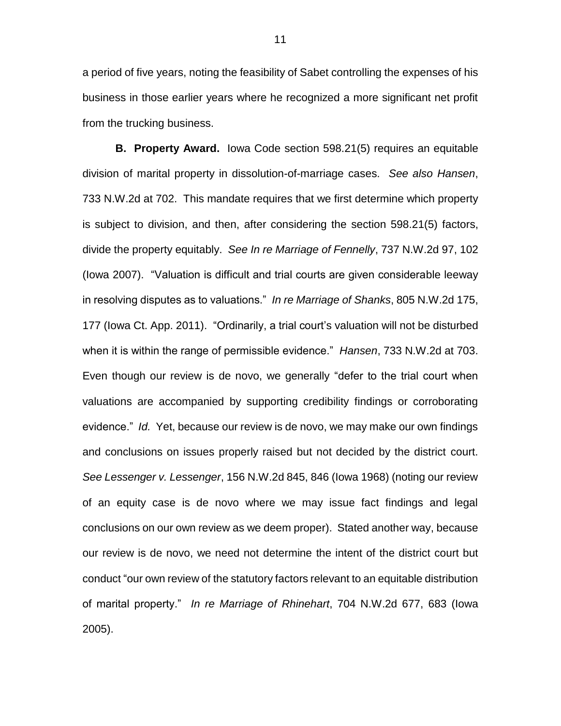a period of five years, noting the feasibility of Sabet controlling the expenses of his business in those earlier years where he recognized a more significant net profit from the trucking business.

**B. Property Award.** Iowa Code section 598.21(5) requires an equitable division of marital property in dissolution-of-marriage cases. *See also Hansen*, 733 N.W.2d at 702. This mandate requires that we first determine which property is subject to division, and then, after considering the section 598.21(5) factors, divide the property equitably. *See In re Marriage of Fennelly*, 737 N.W.2d 97, 102 (Iowa 2007). "Valuation is difficult and trial courts are given considerable leeway in resolving disputes as to valuations." *In re Marriage of Shanks*, 805 N.W.2d 175, 177 (Iowa Ct. App. 2011). "Ordinarily, a trial court's valuation will not be disturbed when it is within the range of permissible evidence." *Hansen*, 733 N.W.2d at 703. Even though our review is de novo, we generally "defer to the trial court when valuations are accompanied by supporting credibility findings or corroborating evidence." *Id.* Yet, because our review is de novo, we may make our own findings and conclusions on issues properly raised but not decided by the district court. *See Lessenger v. Lessenger*, 156 N.W.2d 845, 846 (Iowa 1968) (noting our review of an equity case is de novo where we may issue fact findings and legal conclusions on our own review as we deem proper). Stated another way, because our review is de novo, we need not determine the intent of the district court but conduct "our own review of the statutory factors relevant to an equitable distribution of marital property." *In re Marriage of Rhinehart*, 704 N.W.2d 677, 683 (Iowa 2005).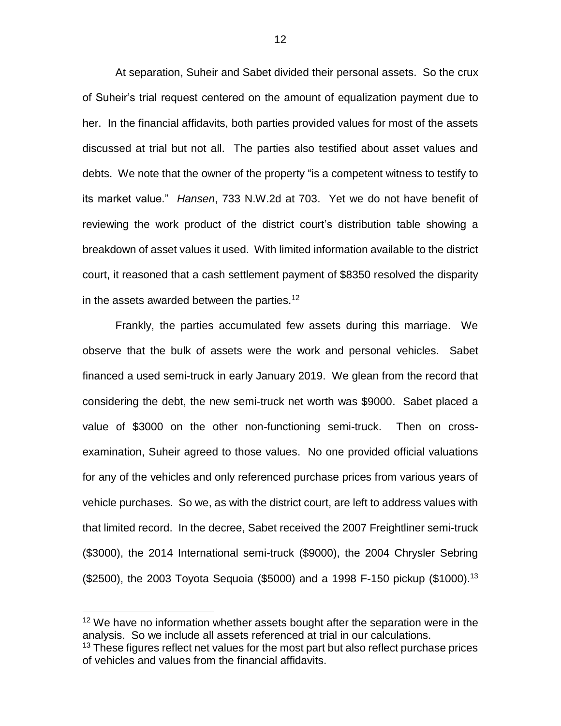At separation, Suheir and Sabet divided their personal assets. So the crux of Suheir's trial request centered on the amount of equalization payment due to her. In the financial affidavits, both parties provided values for most of the assets discussed at trial but not all. The parties also testified about asset values and debts. We note that the owner of the property "is a competent witness to testify to its market value." *Hansen*, 733 N.W.2d at 703. Yet we do not have benefit of reviewing the work product of the district court's distribution table showing a breakdown of asset values it used. With limited information available to the district court, it reasoned that a cash settlement payment of \$8350 resolved the disparity in the assets awarded between the parties.<sup>12</sup>

Frankly, the parties accumulated few assets during this marriage. We observe that the bulk of assets were the work and personal vehicles. Sabet financed a used semi-truck in early January 2019. We glean from the record that considering the debt, the new semi-truck net worth was \$9000. Sabet placed a value of \$3000 on the other non-functioning semi-truck. Then on crossexamination, Suheir agreed to those values. No one provided official valuations for any of the vehicles and only referenced purchase prices from various years of vehicle purchases. So we, as with the district court, are left to address values with that limited record. In the decree, Sabet received the 2007 Freightliner semi-truck (\$3000), the 2014 International semi-truck (\$9000), the 2004 Chrysler Sebring  $($2500)$ , the 2003 Toyota Sequoia  $($5000)$  and a 1998 F-150 pickup  $($1000).^{13}$ 

 $12$  We have no information whether assets bought after the separation were in the analysis. So we include all assets referenced at trial in our calculations.

<sup>&</sup>lt;sup>13</sup> These figures reflect net values for the most part but also reflect purchase prices of vehicles and values from the financial affidavits.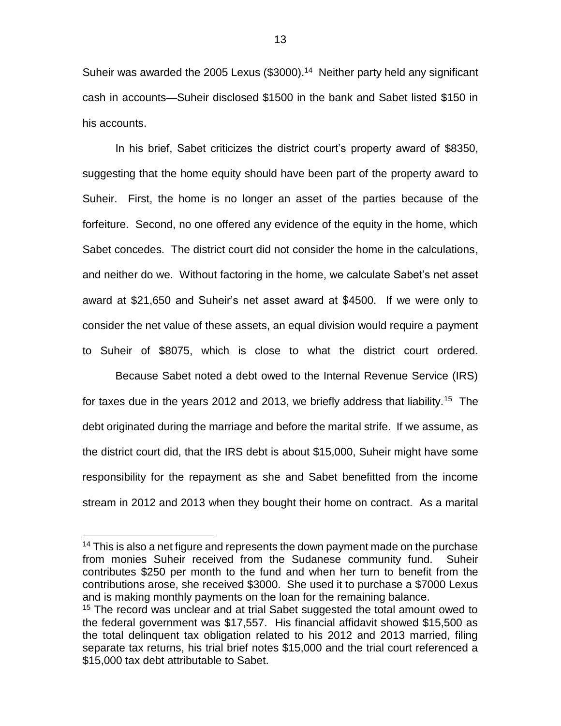Suheir was awarded the 2005 Lexus (\$3000).<sup>14</sup> Neither party held any significant cash in accounts—Suheir disclosed \$1500 in the bank and Sabet listed \$150 in his accounts.

In his brief, Sabet criticizes the district court's property award of \$8350, suggesting that the home equity should have been part of the property award to Suheir. First, the home is no longer an asset of the parties because of the forfeiture. Second, no one offered any evidence of the equity in the home, which Sabet concedes. The district court did not consider the home in the calculations, and neither do we. Without factoring in the home, we calculate Sabet's net asset award at \$21,650 and Suheir's net asset award at \$4500. If we were only to consider the net value of these assets, an equal division would require a payment to Suheir of \$8075, which is close to what the district court ordered.

Because Sabet noted a debt owed to the Internal Revenue Service (IRS) for taxes due in the years 2012 and 2013, we briefly address that liability.<sup>15</sup> The debt originated during the marriage and before the marital strife. If we assume, as the district court did, that the IRS debt is about \$15,000, Suheir might have some responsibility for the repayment as she and Sabet benefitted from the income stream in 2012 and 2013 when they bought their home on contract. As a marital

<sup>&</sup>lt;sup>14</sup> This is also a net figure and represents the down payment made on the purchase from monies Suheir received from the Sudanese community fund. Suheir contributes \$250 per month to the fund and when her turn to benefit from the contributions arose, she received \$3000. She used it to purchase a \$7000 Lexus and is making monthly payments on the loan for the remaining balance.

<sup>&</sup>lt;sup>15</sup> The record was unclear and at trial Sabet suggested the total amount owed to the federal government was \$17,557. His financial affidavit showed \$15,500 as the total delinquent tax obligation related to his 2012 and 2013 married, filing separate tax returns, his trial brief notes \$15,000 and the trial court referenced a \$15,000 tax debt attributable to Sabet.